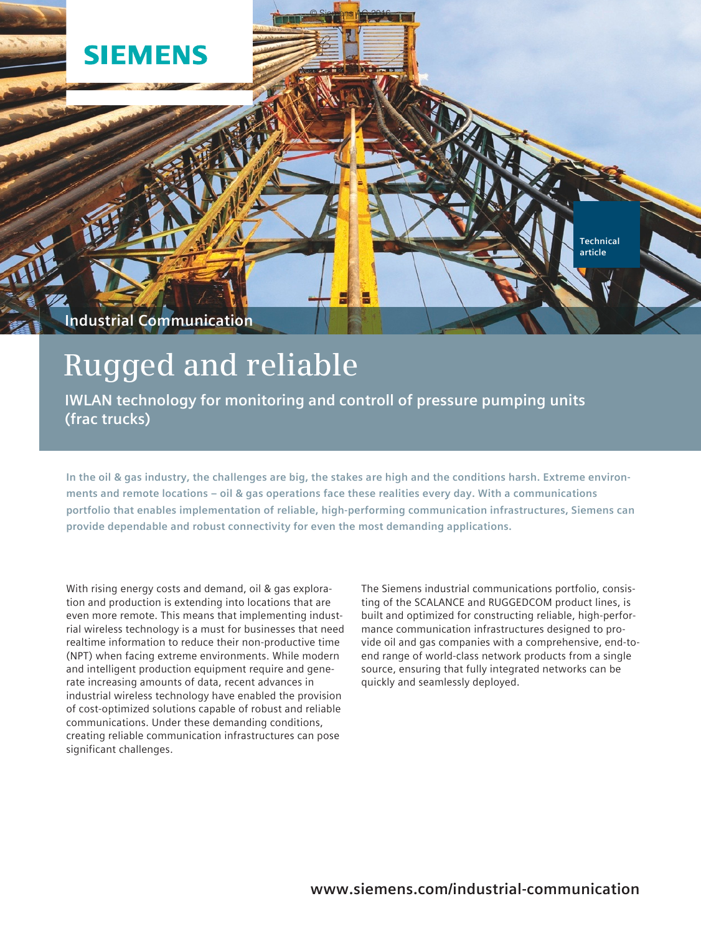

# **Rugged and reliable**

**IWLAN technology for monitoring and controll of pressure pumping units (frac trucks)**

**In the oil & gas industry, the challenges are big, the stakes are high and the conditions harsh. Extreme environments and remote locations – oil & gas operations face these realities every day. With a communications portfolio that enables implementation of reliable, high-performing communication infrastructures, Siemens can provide dependable and robust connectivity for even the most demanding applications.**

With rising energy costs and demand, oil & gas exploration and production is extending into locations that are even more remote. This means that implementing industrial wireless technology is a must for businesses that need realtime information to reduce their non-productive time (NPT) when facing extreme environments. While modern and intelligent production equipment require and generate increasing amounts of data, recent advances in industrial wireless technology have enabled the provision of cost-optimized solutions capable of robust and reliable communications. Under these demanding conditions, creating reliable communication infrastructures can pose significant challenges.

The Siemens industrial communications portfolio, consisting of the SCALANCE and RUGGEDCOM product lines, is built and optimized for constructing reliable, high-performance communication infrastructures designed to provide oil and gas companies with a comprehensive, end-toend range of world-class network products from a single source, ensuring that fully integrated networks can be quickly and seamlessly deployed.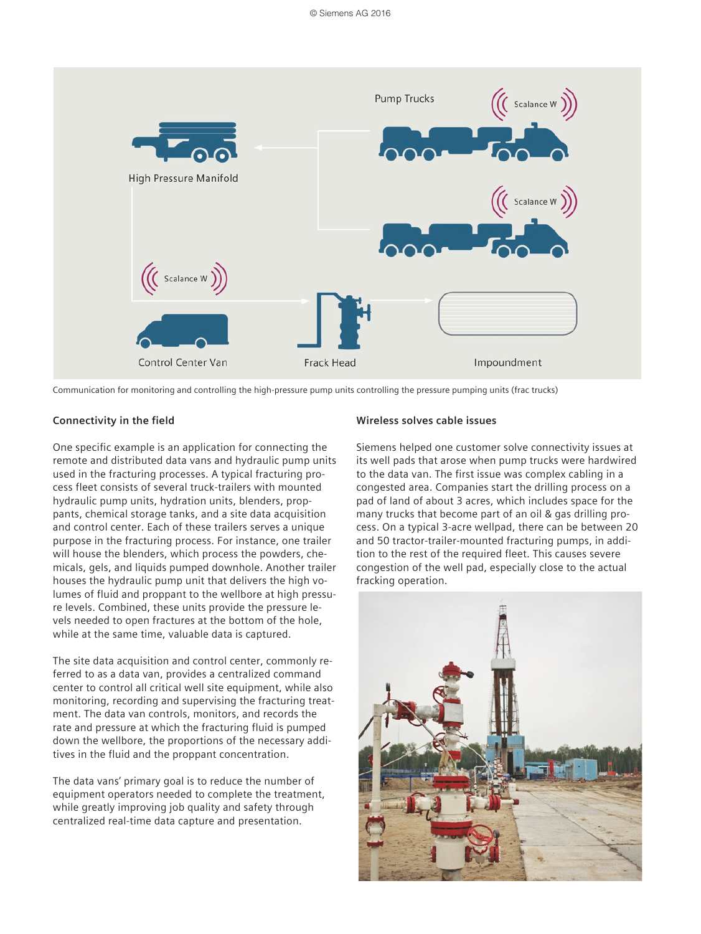

Communication for monitoring and controlling the high-pressure pump units controlling the pressure pumping units (frac trucks)

### **Connectivity in the field**

One specific example is an application for connecting the remote and distributed data vans and hydraulic pump units used in the fracturing processes. A typical fracturing process fleet consists of several truck-trailers with mounted hydraulic pump units, hydration units, blenders, proppants, chemical storage tanks, and a site data acquisition and control center. Each of these trailers serves a unique purpose in the fracturing process. For instance, one trailer will house the blenders, which process the powders, chemicals, gels, and liquids pumped downhole. Another trailer houses the hydraulic pump unit that delivers the high volumes of fluid and proppant to the wellbore at high pressure levels. Combined, these units provide the pressure levels needed to open fractures at the bottom of the hole, while at the same time, valuable data is captured.

The site data acquisition and control center, commonly referred to as a data van, provides a centralized command center to control all critical well site equipment, while also monitoring, recording and supervising the fracturing treatment. The data van controls, monitors, and records the rate and pressure at which the fracturing fluid is pumped down the wellbore, the proportions of the necessary additives in the fluid and the proppant concentration.

The data vans' primary goal is to reduce the number of equipment operators needed to complete the treatment, while greatly improving job quality and safety through centralized real-time data capture and presentation.

#### **Wireless solves cable issues**

Siemens helped one customer solve connectivity issues at its well pads that arose when pump trucks were hardwired to the data van. The first issue was complex cabling in a congested area. Companies start the drilling process on a pad of land of about 3 acres, which includes space for the many trucks that become part of an oil & gas drilling process. On a typical 3-acre wellpad, there can be between 20 and 50 tractor-trailer-mounted fracturing pumps, in addition to the rest of the required fleet. This causes severe congestion of the well pad, especially close to the actual fracking operation.